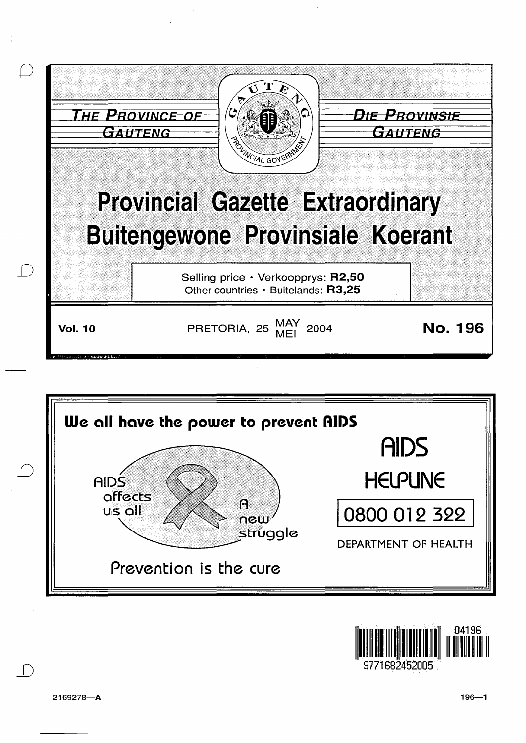





9771682452005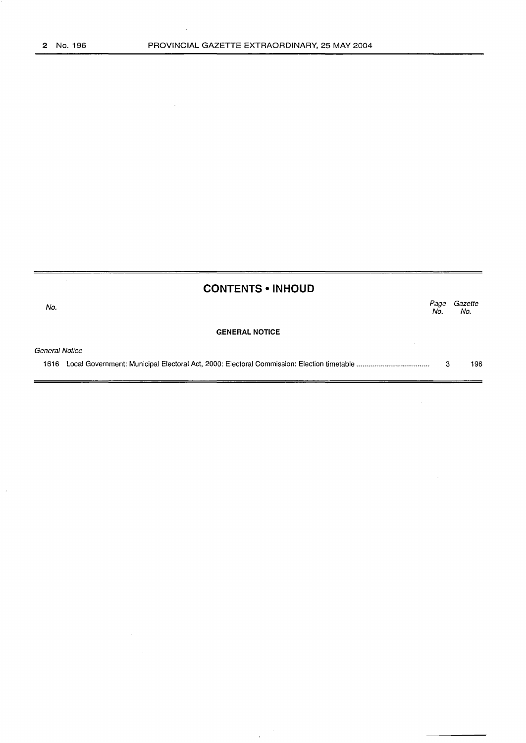$\bar{\beta}$ 

|                | <b>CONTENTS • INHOUD</b> |             |                |
|----------------|--------------------------|-------------|----------------|
| No.            |                          | Page<br>No. | Gazette<br>No. |
|                | <b>GENERAL NOTICE</b>    |             |                |
| General Notice |                          |             |                |
| 1616           |                          | з           | 196            |

 $\sim$  $\alpha$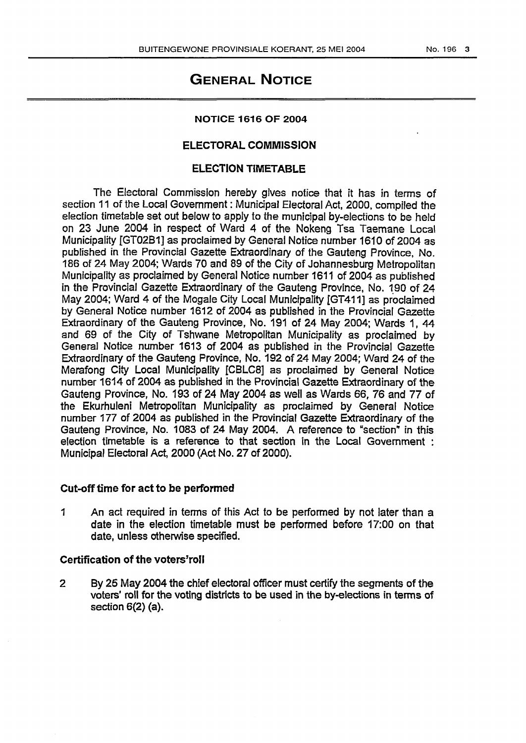# GENERAL NOTICE

#### NOTICE 1616 OF 2004

## ELECTORAL COMMISSION

## ELECTION TIMETABLE

The Electoral Commission hereby gives notice that it has in terms of section 11 of the Local Government : Municipal Electoral Act, 2000, compiled the election timetable set out below to apply to the municipal by-elections to be held on 23 June 2004 in respect of Ward 4 of the Nokeng Tsa Taemane Local Municipality [GT0281] as proclaimed by General Notice number 1610 of 2004 as published in the Provincial Gazette Extraordinary of the Gauteng Province, No. 186 of 24 May 2004; Wards 70 and 89 of the City of Johannesburg Metropolitan Municipality as proclaimed by General Notice number 1611 of 2004 as published in the Provincial Gazette Extraordinary of the Gauteng Province, No. 190 of 24 May 2004; Ward 4 of the Mogale City Local Municipality [GT411] as proclaimed by General Notice number 1612 of 2004 as published in the Provincial Gazette Extraordinary of the Gauteng Province, No. 191 of 24 May 2004; Wards 1, 44 and 69 of the City of Tshwane Metropolitan Municipality as proclaimed by General Notice number 1613 of 2004 as published in the Provincial Gazette Extraordinary of the Gauteng Province, No. 192 of 24 May 2004; Ward 24 of the Merafong City Local Municipality [CBLCS] as proclaimed by General Notice number 1614 of 2004 as published in the Provincial Gazette Extraordinary of the Gauteng Province, No. 193 of 24 May 2004 as well as Wards 66, 76 and 77 of the Ekurhuleni Metropolitan Municipality as proclaimed by General Notice number 177 of 2004 as published in the Provincial Gazette Extraordinary of the Gauteng Province, No. 1083 of 24 May 2004. A reference to "section" in this election timetable is a reference to that section in the Local Government : Municipal Electoral Act, 2000 (Act No. 27 of 2000).

### Cut-off time for act to be performed

1 An act required in terms of this Act to be performed by not later than a date in the election timetable must be performed before 17:00 on that date, unless otherwise specified.

## Certification of the voters' roll

2 By 25 May 2004 the chief electoral officer must certify the segments of the voters' roll for the voting districts to be used in the by-elections in terms of section 6(2) (a).